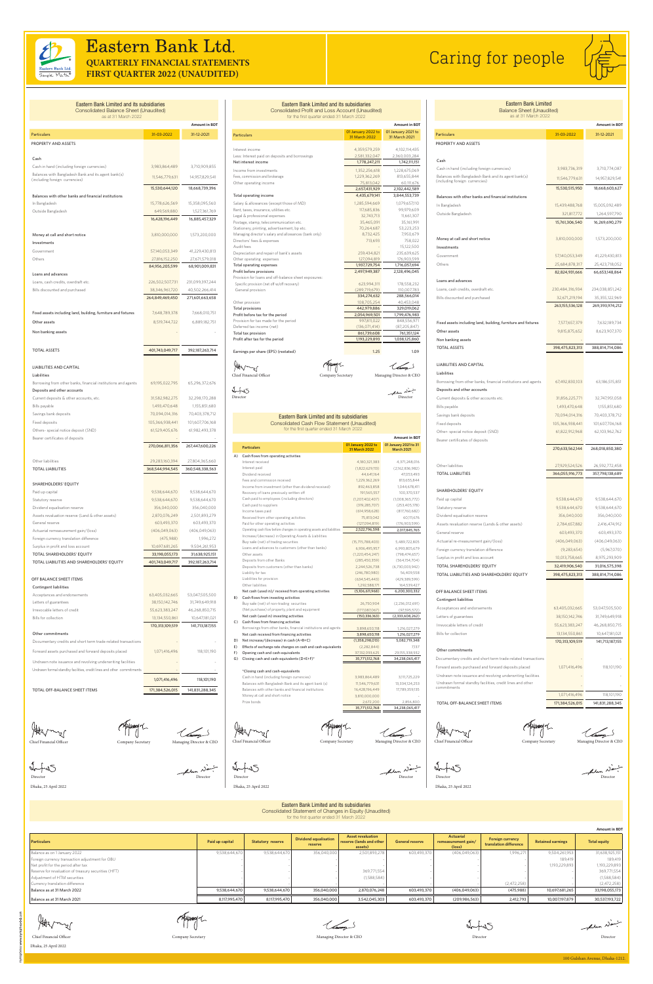100 Gulshan Avenue, Dhaka-1212.



## Eastern Bank Ltd. **QUARTERLY FINANCIAL STATEMENTS**

**FIRST QUARTER 2022 (UNAUDITED)**

# Caring for people



### PROPERTY AND ASSETS Cash Cash in hand (including foreign currencies) 3,983,864,489 3,710,909,855 Balances with Bangladesh Bank and its agent bank(s) Balances with Bangladesh Bank and its agent bank(s) 11,546,779,631 14,957,829,541 15,530,644,120 18,668,739,396 Balances with other banks and financial institutions In Bangladesh 15,778,626,569 15,358,095,560 Outside Bangladesh 649,569,880 1,527,361,769 16,428,196,449 16,885,457,329 Money at call and short notice 3,810,000,000 1,573,200,000 Investments Government 57,140,053,349 41,229,430,813 Others 27,816,152,250 27,671,579,018 84,956,205,599 68,901,009,831 Loans and advances Loans, cash credits, overdraft etc. 226,502,507,731 231,099,397,244 Bills discounted and purchased 38,346,961,720 40,502,266,414 264,849,469,450 271,601,663,658 Fixed assets including land, building, furniture and fixtures  $\overline{7,648,789,378}$  7,668,010,751 **Other assets** 8,519,744,722 6,889,182,751 Non banking assets TOTAL ASSETS 401,743,049,717 392,187,263,714 LIABILITIES AND CAPITAL Liabilities Borrowing from other banks, financial institutions and agents 69,195,022,795 65,296,372,676 Deposits and other accounts Current deposits & other accounts, etc. 31,582,982,275 32,298,170,288 Bills payable **1,493,470,648** 1,155,851,680 Savings bank deposits **1988** 100 and the 10,094,014,316 10,403,378,712 Fixed deposits 105,366,938,441 101,607,706,168 Others- special notice deposit (SND) 61,529,405,676 61,982,493,378 Bearer certificates of deposits 270,066,811,356 267,447,600,226 Other liabilities 29,283,160,394 27,804,365,660 TOTAL LIABILITIES 368,544,994,545 360,548,338,563 SHAREHOLDERS' EQUITY Paid up capital 9,538,644,670 9,538,644,670 9,538,644,670 Statutory reserve **9,538,644,670** 9,538,644,670 Dividend equalisation reserve 356,040,000 356,040,000

Eastern Bank Limited and its subsidiaries Consolidated Balance Sheet (Unaudited) as at 31 March 2022

Particulars 31-12-2021 31-03-2022 31-12-2021

**Amount in BDT**

| Dividend equalisation reserve                    | 356.040.000     | 356,040,000     |
|--------------------------------------------------|-----------------|-----------------|
| Assets revaluation reserve (Land & other assets) | 2,870,076,249   | 2,501,893,279   |
| General reserve                                  | 603,493,370     | 603.493.370     |
| Actuarial remeasurement gain/(loss)              | (406.049.063)   | (406.049.063)   |
| Foreign currency translation difference          | (475,988)       | 1,996.272       |
| Surplus in profit and loss account               | 10,697,681,265  | 9,504,261,953   |
| TOTAL SHAREHOLDERS' EQUITY                       | 33.198.055.173  | 31,638,925,151  |
| TOTAL LIABILITIES AND SHAREHOLDERS' EQUITY       | 401,743,049,717 | 392,187,263,714 |
|                                                  |                 |                 |

| Contingent liabilities                                                |                 |                 |
|-----------------------------------------------------------------------|-----------------|-----------------|
| Acceptances and endorsements                                          | 63,405,032,665  | 53,047,505,500  |
| Letters of guarantees                                                 | 38,150,142,746  | 31,749,649,918  |
| Irrevocable letters of credit                                         | 55,623,383,247  | 46,268,850,715  |
| Bills for collection                                                  | 13,134,550,861  | 10,647,181,021  |
|                                                                       | 170,313,109,519 | 141,713,187,155 |
| Other commitments                                                     |                 |                 |
| Documentary credits and short term trade-related transactions         |                 |                 |
| Forward assets purchased and forward deposits placed                  | 1,071,416,496   | 118,101,190     |
| Undrawn note issuance and revolving underwriting facilities           |                 |                 |
| Undrawn formal standby facilities, credit lines and other commitments |                 |                 |
|                                                                       | 1,071,416,496   | 118,101,190     |
| TOTAL OFF-BALANCE SHEET ITEMS                                         | 171,384,526,015 | 141,831,288,345 |

Holmy Chief Financial Officer Company Secretary Managing Director & CEO

(haday)

TOTAL LIABILITIES AND SHAREHOLDERS' EQUITY 398,475,823,313 388,814,714,086

fulum Navi Director

|          | Eastern Bank Limited and its subsidiaries<br><b>Consolidated Profit and Loss Account (Unaudited)</b><br>for the first quarter ended 31 March 2022 |                                  |                                    | <b>Eastern Bank Limited</b><br><b>Balance Sheet (Unaudited)</b><br>as at 31 March 2022 |                    |                      |
|----------|---------------------------------------------------------------------------------------------------------------------------------------------------|----------------------------------|------------------------------------|----------------------------------------------------------------------------------------|--------------------|----------------------|
|          |                                                                                                                                                   |                                  | <b>Amount in BDT</b>               |                                                                                        |                    | <b>Amount in BDT</b> |
|          | <b>Particulars</b>                                                                                                                                | 01 January 2022 to               | 01 January 2021 to                 | <b>Particulars</b>                                                                     | 31-03-2022         | 31-12-2021           |
|          |                                                                                                                                                   | 31 March 2022                    | 31 March 2021                      |                                                                                        |                    |                      |
|          | Interest income                                                                                                                                   | 4,359,579,259                    | 4,102,114,435                      | PROPERTY AND ASSETS                                                                    |                    |                      |
|          | Less: Interest paid on deposits and borrowings                                                                                                    | 2,581,332,047                    | 2,360,003,284                      |                                                                                        |                    |                      |
|          | Net interest income                                                                                                                               | 1,778,247,211                    | 1,742,111,151                      | Cash                                                                                   |                    |                      |
|          | Income from investments                                                                                                                           | 1,352,256,618                    | 1,228,675,069                      | Cash in hand (including foreign currencies)                                            | 3,983,736,319      | 3,710,774,087        |
|          | Fees, commission and brokerage                                                                                                                    | 1,229,362,269                    | 813.655.844                        | Balances with Bangladesh Bank and its agent bank(s)                                    | 11,546,779,631     | 14.957.829.541       |
|          | Other operating income                                                                                                                            | 75,813,042                       | 60,111,676                         | (including foreign currencies)                                                         |                    |                      |
|          | Total operating income                                                                                                                            | 2,657,431,929<br>4,435,679,141   | 2,102,442,589<br>3,844,553,739     |                                                                                        | 15,530,515,950     | 18,668,603,627       |
|          | Salary & allowances (except those of MD)                                                                                                          | 1,285,594,669                    | 1,079,657,110                      | Balances with other banks and financial institutions                                   |                    |                      |
|          | Rent, taxes, insurance, utilities etc.                                                                                                            | 117,685,836                      | 99,979,609                         | In Bangladesh                                                                          | 15,439,488,768     | 15,005,092,489       |
|          | Legal & professional expenses                                                                                                                     | 32,743,713                       | 11,661,307                         | Outside Bangladesh                                                                     | 321,817,772        | 1,264,597,790        |
|          | Postage, stamp, telecommunication etc.                                                                                                            | 35,465,091                       | 35,161,991                         |                                                                                        | 15,761,306,540     | 16,269,690,279       |
|          | Stationery, printing, advertisement, bp etc.                                                                                                      | 70,264,687                       | 53,223,253                         |                                                                                        |                    |                      |
|          | Managing director's salary and allowances (bank only)<br>Directors' fees & expenses                                                               | 8,732,425<br>713,693             | 7,950,679<br>758,022               | Money at call and short notice                                                         | 3,810,000,000      | 1,573,200,000        |
|          | Audit fees                                                                                                                                        |                                  | 15,122,500                         | Investments                                                                            |                    |                      |
|          | Depreciation and repair of bank's assets                                                                                                          | 259,434,821                      | 235,639,625                        | Government                                                                             | 57,140,053,349     | 41,229,430,813       |
|          | Other operating expenses                                                                                                                          | 127,094,819                      | 176,903,599                        |                                                                                        |                    |                      |
|          | Total operating expenses                                                                                                                          | 1,937,729,754                    | 1,716,057,694                      | Others                                                                                 | 25,684,878,317     | 25,423,718,052       |
|          | Profit before provisions<br>Provision for loans and off-balance sheet exposures:                                                                  | 2,497,949,387                    | 2,128,496,045                      |                                                                                        | 82,824,931,666     | 66,653,148,864       |
|          | Specific provision (net off w/off recovery)                                                                                                       | 623,994,311                      | 178,558,232                        | Loans and advances                                                                     |                    |                      |
|          | General provision                                                                                                                                 | (289, 719, 679)                  | 110,007,783                        | Loans, cash credits, overdraft etc.                                                    | 230,484,316,934    | 234,038,851,242      |
|          |                                                                                                                                                   | 334,274,632                      | 288,566,014                        | Bills discounted and purchased                                                         | 32,671,219,194     | 35,355,122,969       |
|          | Other provision                                                                                                                                   | 108,705,254                      | 40,453,048                         |                                                                                        | 263, 155, 536, 128 | 269,393,974,212      |
|          | Total provisions<br>Profit before tax for the period                                                                                              | 442,979,886<br>2,054,969,501     | 329,019,062<br>1,799,476,983       |                                                                                        |                    |                      |
|          | Provision for tax made for the period                                                                                                             | 997,811,022                      | 848,556,971                        |                                                                                        |                    |                      |
|          | Deferred tax income (net)                                                                                                                         | (136, 071, 414)                  | (87, 205, 847)                     | Fixed assets including land, building, furniture and fixtures                          | 7,577,657,379      | 7,632,189,734        |
|          | Total tax provision                                                                                                                               | 861,739,608                      | 761,351,124                        | Other assets                                                                           | 9,815,875,652      | 8,623,907,370        |
|          | Profit after tax for the period                                                                                                                   | 1,193,229,893                    | 1,038,125,860                      | Non banking assets                                                                     |                    |                      |
|          | Earnings per share (EPS) (restated)                                                                                                               | 1.25                             | 1.09                               | <b>TOTAL ASSETS</b>                                                                    | 398,475,823,313    | 388,814,714,086      |
|          |                                                                                                                                                   |                                  |                                    | <b>LIABILITIES AND CAPITAL</b>                                                         |                    |                      |
|          |                                                                                                                                                   |                                  | (hang)                             |                                                                                        |                    |                      |
|          | Chief Financial Officer<br>Company Secretary                                                                                                      |                                  | Managing Director & CEO            | Liabilities                                                                            |                    |                      |
|          |                                                                                                                                                   |                                  |                                    | Borrowing from other banks, financial institutions and agents                          | 67,492,830,103     | 63,186,515,851       |
|          |                                                                                                                                                   |                                  | there Name                         | Deposits and other accounts                                                            |                    |                      |
| Director |                                                                                                                                                   |                                  | Director                           | Current deposits & other accounts etc.                                                 | 31,856,225,771     | 32,747,951,058       |
|          |                                                                                                                                                   |                                  |                                    | Bills payable                                                                          | 1,493,470,648      | 1,155,851,680        |
|          | Eastern Bank Limited and its subsidiaries                                                                                                         |                                  |                                    | Savings bank deposits                                                                  | 70,094,014,316     | 70,403,378,712       |
|          | <b>Consolidated Cash Flow Statement (Unaudited)</b>                                                                                               |                                  |                                    | Fixed deposits                                                                         | 105.366.938.441    | 101,607,706,168      |
|          | for the first quarter ended 31 March 2022                                                                                                         |                                  |                                    | Other- special notice deposit (SND)                                                    | 61,822,912,968     | 62,103,962,762       |
|          |                                                                                                                                                   |                                  | <b>Amount in BDT</b>               | Bearer certificates of deposits                                                        |                    |                      |
|          | <b>Particulars</b>                                                                                                                                | 01 January 2022 to               | 01 January 2021 to 31              |                                                                                        |                    |                      |
|          | Cash flows from operating activities                                                                                                              | 31 March 2022                    | <b>March 2021</b>                  |                                                                                        | 270,633,562,144    | 268,018,850,380      |
|          | Interest received                                                                                                                                 | 4,180,321,383                    | 4,371,248,016                      |                                                                                        |                    |                      |
|          | Interest paid                                                                                                                                     | (1,822,629,113)                  | (2,162,836,982)                    | Other liabilities                                                                      | 27,929,524,526     | 26,592,772,458       |
|          | Dividend received                                                                                                                                 | 44,641,164                       | 47,053,493                         | <b>TOTAL LIABILITIES</b>                                                               | 366,055,916,773    | 357,798,138,689      |
|          | Fees and commission received                                                                                                                      | 1,229,362,269                    | 813,655,844                        |                                                                                        |                    |                      |
|          | Income from investment (other than dividend received)<br>Recovery of loans previously written off                                                 | 892,463,858<br>191,565,557       | 1,044,678,411<br>100,370,537       | SHAREHOLDERS' EQUITY                                                                   |                    |                      |
|          | Cash paid to employees (including directors)                                                                                                      | (1, 207, 402, 407)               | (1,008,365,772)                    | Paid up capital                                                                        | 9,538,644,670      | 9,538,644,670        |
|          | Cash paid to suppliers                                                                                                                            | (319, 285, 707)                  | (253, 405, 178)                    | Statutory reserve                                                                      | 9,538,644,670      | 9,538,644,670        |
|          | Income taxes paid                                                                                                                                 | (614,958,628)                    | (817,760,682)                      |                                                                                        |                    |                      |
|          | Received from other operating activities                                                                                                          | 75,813,042                       | 60,111,676                         | Dividend equalisation reserve                                                          | 356,040,000        | 356,040,000          |
|          | Paid for other operating activities<br>Operating cash flow before changes in operating assets and liabilities                                     | (127,094,819)<br>2,522,796,598   | (176,903,599)<br>2,017,845,765     | Assets revaluation reserve (Lands & other assets)                                      | 2,784,657,882      | 2,416,474,912        |
|          | Increase/(decrease) in Operating Assets & Liabilities                                                                                             |                                  |                                    | General reserve                                                                        | 603,493,370        | 603,493,370          |
|          | Buy sale (net) of trading securities                                                                                                              | (15, 715, 788, 403)              | 5,489,722,805                      | Actuarial re-measurement gain/(loss)                                                   | (406, 049, 063)    | (406, 049, 063)      |
|          |                                                                                                                                                   |                                  |                                    |                                                                                        |                    |                      |
|          | Loans and advances to customers (other than banks)                                                                                                | 6,936,495,957                    | 6,993,805,679                      | Foreign currency translation difference                                                | (9,283,654)        | (5,967,070)          |
|          | Other assets                                                                                                                                      | (1, 220, 454, 247)               | (798, 474, 657)                    | Surplus in profit and loss account                                                     | 10,013,758,665     | 8,975,293,909        |
|          | Deposits from other Banks<br>Deposits from customers (other than banks)                                                                           | (285, 450, 359)<br>2,244,526,738 | (564, 154, 704)<br>(6,730,003,942) | TOTAL SHAREHOLDERS' EQUITY                                                             | 32,419,906,540     | 31,016,575,398       |

| OFF BALANCE SHEET ITEMS                                                  |                 |                 |
|--------------------------------------------------------------------------|-----------------|-----------------|
| <b>Contingent liabilities</b>                                            |                 |                 |
| Acceptances and endorsements                                             | 63,405,032,665  | 53,047,505,500  |
| Letters of guarantees                                                    | 38,150,142,746  | 31,749,649,918  |
| Irrevocable letters of credit                                            | 55,623,383,247  | 46,268,850,715  |
| Bills for collection                                                     | 13,134,550,861  | 10,647,181,021  |
|                                                                          | 170,313,109,519 | 141,713,187,155 |
| Other commitments                                                        |                 |                 |
| Documentary credits and short term trade-related transactions            |                 |                 |
| Forward assets purchased and forward deposits placed                     | 1,071,416,496   | 118,101,190     |
| Undrawn note issuance and revolving underwriting facilities              |                 |                 |
| Undrawn formal standby facilities, credit lines and other<br>commitments |                 |                 |
|                                                                          | 1,071,416,496   | 118,101,190     |
| TOTAL OFF-BALANCE SHEET ITEMS                                            | 171,384,526,015 | 141,831,288,345 |
|                                                                          |                 |                 |

Chief Financial Officer Company Secretary Managing Director & CEO

Miklanang nC

Hotamy (haday)

Dhaka, 25 April 2022

failure Name

Director

Director

| Other Hadhities                                                | 1,292,300,171   | 104,339,427     |                                               |
|----------------------------------------------------------------|-----------------|-----------------|-----------------------------------------------|
| Net cash (used in)/ received from operating activities         | (5,106,611,968) | 6,200,300,332   | OFF BALANCE SHEET ITEMS                       |
| Cash flows from investing activities                           |                 |                 | <b>Contingent liabilities</b>                 |
| Buy sale (net) of non-trading securities                       | 26,750,904      | (2,236,012,691) |                                               |
| (Net purchase) of property, plant and equipment                | (177,087,067)   | (97, 595, 572)  | Acceptances and endorsements                  |
| Net cash (used in) investing activities                        | (150, 336, 163) | (2,333,608,262) | Letters of guarantees                         |
| Cash flows from financing activities                           |                 |                 | Irrevocable letters of credit                 |
| Borrowings from other banks, financial institutions and agents | 3,898,650,118   | 1,216,027,279   |                                               |
| Net cash received from financing activities                    | 3,898,650,118   | 1,216,027,279   | Bills for collection                          |
| Net increase/(decrease) in cash (A+B+C)                        | (1,358,298,013) | 5,082,719,348   |                                               |
| Effects of exchange rate changes on cash and cash equivalents  | (2,282,844)     | 7,137           |                                               |
| Opening cash and cash-equivalents                              | 37,132,093,625  | 29,155,338,932  | Other commitments                             |
| Closing cash and cash-equivalents (D+E+F)*                     | 35,771,512,768  | 34,238,065,417  | Documentary credits and short term trade-     |
|                                                                |                 |                 | Forward assets purchased and forward depo     |
| *Closing cash and cash-equivalents                             |                 |                 |                                               |
| Cash in hand (including foreign currencies)                    | 3,983,864,489   | 3,111,725,229   | Undrawn note issuance and revolving unde      |
| Balances with Bangladesh Bank and its agent bank (s)           | 11,546,779,631  | 13,334,124,253  | Undrawn formal standby facilities, credit lir |
| Balances with other banks and financial institutions           | 16,428,196,449  | 17,789,359,135  | commitments                                   |
| Money at call and short notice                                 | 3,810,000,000   |                 |                                               |
| Prize bonds                                                    | 2,672,200       | 2,856,800       | TOTAL OFF-BALANCE SHEET ITEMS                 |
|                                                                | 35,771,512,768  | 34,238,065,417  |                                               |
|                                                                |                 |                 |                                               |

| Other liabilities                                                   | 1,292,588,171   | 164,539,427     |
|---------------------------------------------------------------------|-----------------|-----------------|
| Net cash (used in)/ received from operating activities              | (5,106,611,968) | 6,200,300,332   |
| B)<br>Cash flows from investing activities                          |                 |                 |
| Buy sale (net) of non-trading securities                            | 26,750,904      | (2,236,012,691) |
| (Net purchase) of property, plant and equipment                     | (177,087,067)   | (97, 595, 572)  |
| Net cash (used in) investing activities                             | (150, 336, 163) | (2,333,608,262) |
| C)<br>Cash flows from financing activities                          |                 |                 |
| Borrowings from other banks, financial institutions and agents      | 3,898,650,118   | 1,216,027,279   |
| Net cash received from financing activities                         | 3,898,650,118   | 1,216,027,279   |
| D)<br>Net increase/(decrease) in cash (A+B+C)                       | (1,358,298,013) | 5,082,719,348   |
| E)<br>Effects of exchange rate changes on cash and cash equivalents | (2,282,844)     | 7,137           |
| F)<br>Opening cash and cash-equivalents                             | 37,132,093,625  | 29,155,338,932  |
| G)<br>Closing cash and cash-equivalents (D+E+F)*                    | 35,771,512,768  | 34,238,065,417  |
|                                                                     |                 |                 |
| *Closing cash and cash-equivalents                                  |                 |                 |
| Cash in hand (including foreign currencies)                         | 3,983,864,489   | 3,111,725,229   |
| Balances with Bangladesh Bank and its agent bank (s)                | 11,546,779,631  | 13,334,124,253  |
| Balances with other banks and financial institutions                | 16,428,196,449  | 17,789,359,135  |
| Money at call and short notice                                      | 3,810,000,000   |                 |

Liabilities for provision **COVID-100 COVID-200** (634,545,443) (429,389,599)

Dhaka, 25 April 2022

Director

fulen Namig

Chief Financial Officer Company Secretary Managing Director & CEO

Milanang n\_

Dhaka, 25 April 2022

Director

Eastern Bank Limited and its subsidiaries

Consolidated Statement of Changes in Equity (Unaudited) for the first quarter ended 31 March 2022

|                                                      |                 |                          |                                  |                                                                 |                        |                                                   |                                                   |                          | <b>Amount in BDT</b> |
|------------------------------------------------------|-----------------|--------------------------|----------------------------------|-----------------------------------------------------------------|------------------------|---------------------------------------------------|---------------------------------------------------|--------------------------|----------------------|
| <b>Particulars</b>                                   | Paid up capital | <b>Statutory reserve</b> | Dividend equalisation<br>reserve | <b>Asset revaluation</b><br>reserve (lands and other<br>assets) | <b>General reserve</b> | <b>Actuarial</b><br>remeasurement gain/<br>(loss) | <b>Foreign currency</b><br>translation difference | <b>Retained earnings</b> | <b>Total equity</b>  |
| Balance as on 1 January 2022                         | 9,538,644,670   | 9,538,644,670            | 356,040,000                      | 2,501,893,278                                                   | 603,493,370            | (406, 049, 063)                                   | 1,996,271                                         | 9,504,261,953            | 31,638,925,151       |
| Foreign currency transaction adjustment for OBU      |                 |                          |                                  |                                                                 |                        |                                                   |                                                   | 189,419                  | 189,419              |
| Net profit for the period after tax                  |                 |                          |                                  |                                                                 |                        |                                                   |                                                   | 1,193,229,893            | 1,193,229,893        |
| Reserve for revaluation of treasury securities (HFT) |                 |                          |                                  | 369,771,554                                                     |                        |                                                   |                                                   |                          | 369,771,554          |
| Adjustment of HTM securities                         |                 |                          |                                  | (1,588,584)                                                     |                        |                                                   |                                                   |                          | (1,588,584)          |
| Currency translation difference                      |                 |                          |                                  |                                                                 |                        |                                                   | (2.472.258)                                       |                          | (2,472,258)          |
| Balance as at 31 March 2022                          | 9,538,644,670   | 9,538,644,670            | 356,040,000                      | 2,870,076,248                                                   | 603,493,370            | (406, 049, 063)                                   | (475,988)                                         | 10,697,681,265           | 33,198,055,173       |
| Balance as at 31 March 2021                          | 8,117,995,470   | 8,117,995,470            | 356,040,000                      | 3,542,045,303                                                   | 603,493,370            | (209, 986, 563)                                   | 2,412,793                                         | 10,007,197,879           | 30,537,193,722       |

Hotamy





Impres

fulum Nami

Dhaka, 25 April 2022

Chief Financial Officer Company Secretary Company Secretary Company Secretary Managing Director & CEO Director Director Director Director Director Director